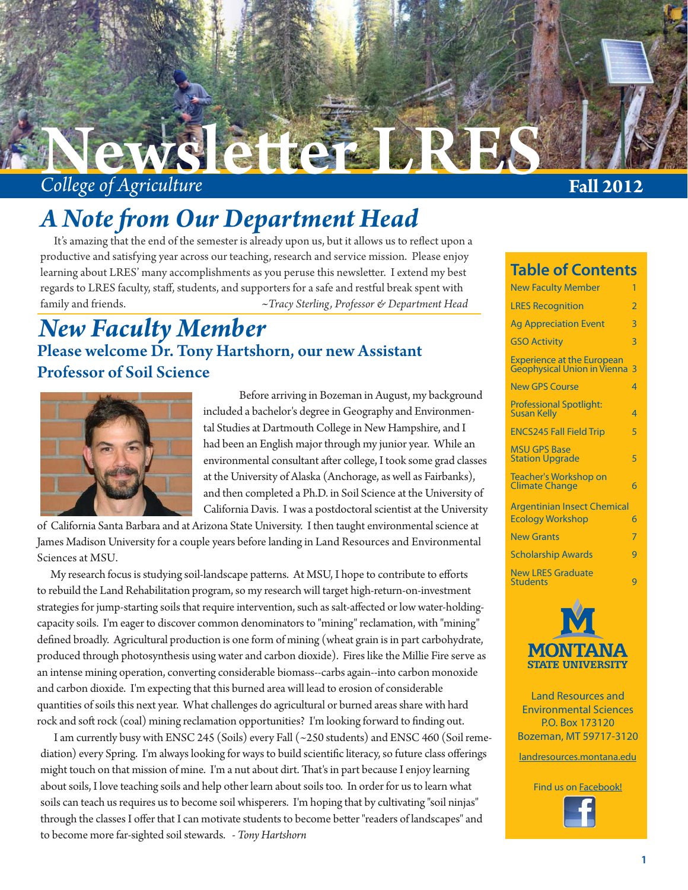

# *A Note from Our Department Head*

It's amazing that the end of the semester is already upon us, but it allows us to reflect upon a productive and satisfying year across our teaching, research and service mission. Please enjoy learning about LRES' many accomplishments as you peruse this newsletter. I extend my best regards to LRES faculty, staff, students, and supporters for a safe and restful break spent with family and friends. *~Tracy Sterling, Professor & Department Head*

# Please welcome Dr. Tony Hartshorn, our new Assistant Professor of Soil Science *New Faculty Member*



 Before arriving in Bozeman in August, my background included a bachelor's degree in Geography and Environmental Studies at Dartmouth College in New Hampshire, and I had been an English major through my junior year. While an environmental consultant after college, I took some grad classes at the University of Alaska (Anchorage, as well as Fairbanks), and then completed a Ph.D. in Soil Science at the University of California Davis. I was a postdoctoral scientist at the University

of California Santa Barbara and at Arizona State University. I then taught environmental science at James Madison University for a couple years before landing in Land Resources and Environmental Sciences at MSU.

My research focus is studying soil-landscape patterns. At MSU, I hope to contribute to efforts to rebuild the Land Rehabilitation program, so my research will target high-return-on-investment strategies for jump-starting soils that require intervention, such as salt-affected or low water-holdingcapacity soils. I'm eager to discover common denominators to "mining" reclamation, with "mining" defined broadly. Agricultural production is one form of mining (wheat grain is in part carbohydrate, produced through photosynthesis using water and carbon dioxide). Fires like the Millie Fire serve as an intense mining operation, converting considerable biomass--carbs again--into carbon monoxide and carbon dioxide. I'm expecting that this burned area will lead to erosion of considerable quantities of soils this next year. What challenges do agricultural or burned areas share with hard rock and soft rock (coal) mining reclamation opportunities? I'm looking forward to finding out.

 I am currently busy with ENSC 245 (Soils) every Fall (~250 students) and ENSC 460 (Soil remediation) every Spring. I'm always looking for ways to build scientific literacy, so future class offerings might touch on that mission of mine. I'm a nut about dirt. That's in part because I enjoy learning about soils, I love teaching soils and help other learn about soils too. In order for us to learn what soils can teach us requires us to become soil whisperers. I'm hoping that by cultivating "soil ninjas" through the classes I offer that I can motivate students to become better "readers of landscapes" and to become more far-sighted soil stewards. *- Tony Hartshorn*

**Table of Contents**

| iable of Contents                                                       |                |
|-------------------------------------------------------------------------|----------------|
| <b>New Faculty Member</b>                                               | 1              |
| <b>LRES Recognition</b>                                                 | $\overline{2}$ |
| <b>Ag Appreciation Event</b>                                            | 3              |
| <b>GSO Activity</b>                                                     | $\overline{3}$ |
| <b>Experience at the European</b><br><b>Geophysical Union in Vienna</b> | 3              |
| <b>New GPS Course</b>                                                   | 4              |
| <b>Professional Spotlight:</b><br><b>Susan Kelly</b>                    | $\overline{4}$ |
| <b>ENCS245 Fall Field Trip</b>                                          | 5              |
| <b>MSU GPS Base</b><br><b>Station Upgrade</b>                           | 5              |
| <b>Teacher's Workshop on</b><br><b>Climate Change</b>                   | 6              |
| <b>Argentinian Insect Chemical</b>                                      |                |
| <b>Ecology Workshop</b>                                                 | 6              |
| <b>New Grants</b>                                                       | 7              |
| <b>Scholarship Awards</b>                                               | 9              |
| <b>New LRES Graduate</b><br><b>Students</b>                             | g              |
| - 4                                                                     |                |



Land Resources and Environmental Sciences P.O. Box 173120 Bozeman, MT 59717-3120

landresources.montana.edu

Find us on Facebook!

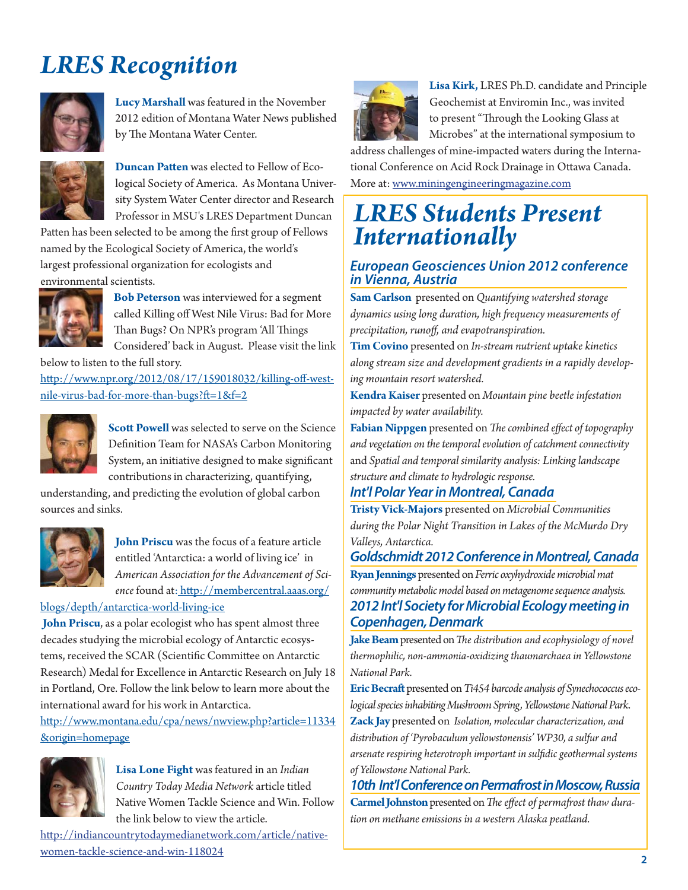# *LRES Recognition*



**Lucy Marshall** was featured in the November 2012 edition of Montana Water News published by The Montana Water Center.



**Duncan Patten** was elected to Fellow of Ecological Society of America. As Montana University System Water Center director and Research Professor in MSU's LRES Department Duncan

Patten has been selected to be among the first group of Fellows named by the Ecological Society of America, the world's largest professional organization for ecologists and environmental scientists.



**Bob Peterson** was interviewed for a segment called Killing off West Nile Virus: Bad for More Than Bugs? On NPR's program 'All Things Considered' back in August. Please visit the link

below to listen to the full story.

http://www.npr.org/2012/08/17/159018032/killing-off-westnile-virus-bad-for-more-than-bugs?ft=1&f=2



**Scott Powell** was selected to serve on the Science Definition Team for NASA's Carbon Monitoring System, an initiative designed to make significant contributions in characterizing, quantifying,

understanding, and predicting the evolution of global carbon sources and sinks.



**John Priscu** was the focus of a feature article entitled 'Antarctica: a world of living ice' in *American Association for the Advancement of Science* found at: http://membercentral.aaas.org/

### blogs/depth/antarctica-world-living-ice

 **John Priscu**, as a polar ecologist who has spent almost three decades studying the microbial ecology of Antarctic ecosystems, received the SCAR (Scientific Committee on Antarctic Research) Medal for Excellence in Antarctic Research on July 18 in Portland, Ore. Follow the link below to learn more about the international award for his work in Antarctica.

http://www.montana.edu/cpa/news/nwview.php?article=11334 &origin=homepage



**Lisa Lone Fight** was featured in an *Indian Country Today Media Network* article titled Native Women Tackle Science and Win. Follow the link below to view the article.

http://indiancountrytodaymedianetwork.com/article/nativewomen-tackle-science-and-win-118024



**Lisa Kirk,** LRES Ph.D. candidate and Principle Geochemist at Enviromin Inc., was invited to present "Through the Looking Glass at Microbes" at the international symposium to

address challenges of mine-impacted waters during the International Conference on Acid Rock Drainage in Ottawa Canada. More at: www.miningengineeringmagazine.com

# *LRES Students Present Internationally*

### *European Geosciences Union 2012 conference in Vienna, Austria*

**Sam Carlson** presented on *Quantifying watershed storage dynamics using long duration, high fr equency measurements of precipitation, runoff , and evapotranspiration.*

**Tim Covino** presented on *In-stream nutrient uptake kinetics along stream size and development gradients in a rapidly developing mountain resort watershed.*

**Kendra Kaiser** presented on *Mountain pine beetle infestation impacted by water availability.*

Fabian Nippgen presented on *The combined effect of topography and vegetation on the temporal evolution of catchment connectivity*  and *Spatial and temporal similarity analysis: Linking landscape structure and climate to hydrologic response.*

### *Int'l Polar Year in Montreal, Canada*

**Tristy Vick-Majors** presented on *Microbial Communities during the Polar Night Transition in Lakes of the McMurdo Dry Valleys, Antarctica.*

*Goldschmidt 2012 Conference in Montreal, Canada*

**Ryan Jennings** presented on *Ferric oxyhydroxide microbial mat community metabolic model based on metagenome sequence analysis. 2012 Int'l Society for Microbial Ecology meeting in Copenhagen, Denmark*

Jake Beam presented on *The distribution and ecophysiology of novel thermophilic, non-ammonia-oxidizing thaumarchaea in Yellowstone National Park.*

**Eric Becraft** presented on *Ti454 barcode analysis of Synechococcus ecological species inhabiting Mushroom Spring, Yellowstone National Park.* **Zack Jay** presented on *Isolation, molecular characterization, and distribution of 'Pyrobaculum yellowstonensis' WP30, a sulfur and arsenate respiring heterotroph important in sulfi dic geothermal systems of Yellowstone National Park.*

*10th Int'l Conference on Permafrost in Moscow, Russia* Carmel Johnston presented on *The effect of permafrost thaw duration on methane emissions in a western Alaska peatland.*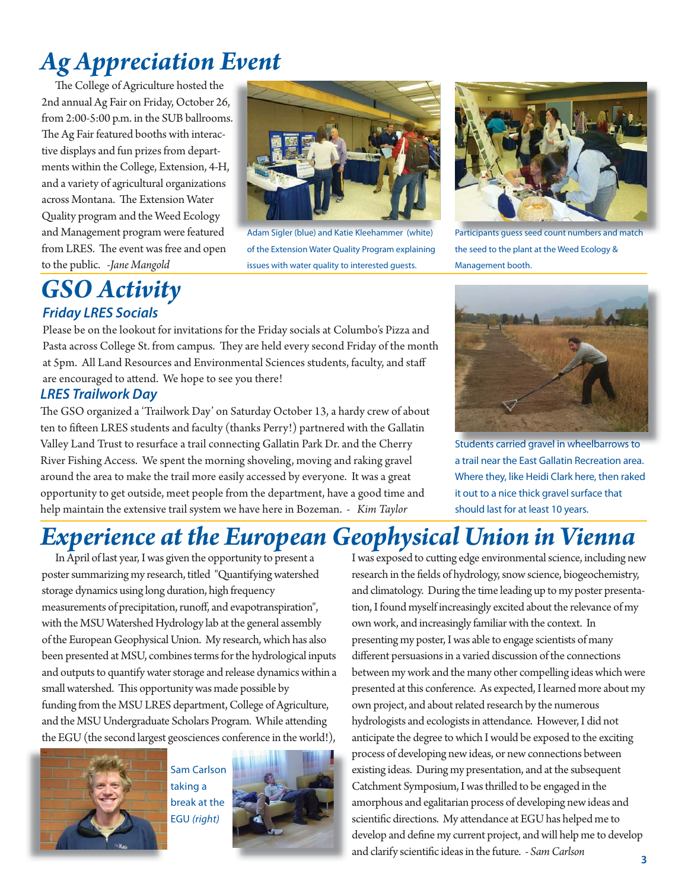# *Ag Appreciation Event*

The College of Agriculture hosted the 2nd annual Ag Fair on Friday, October 26, from 2:00-5:00 p.m. in the SUB ballrooms. . The Ag Fair featured booths with interactive displays and fun prizes from departments within the College, Extension, 4-H, and a variety of agricultural organizations across Montana. The Extension Water Quality program and the Weed Ecology and Management program were featured from LRES. The event was free and open to the public. *-Jane Mangold*

### *GSO Activity Friday LRES Socials*

Adam Sigler (blue) and Katie Kleehammer (white) of the Extension Water Quality Program explaining issues with water quality to interested guests.



Participants guess seed count numbers and match the seed to the plant at the Weed Ecology & Management booth.

Please be on the lookout for invitations for the Friday socials at Columbo's Pizza and Pasta across College St. from campus. They are held every second Friday of the month at 5pm. All Land Resources and Environmental Sciences students, faculty, and staff are encouraged to attend. We hope to see you there!

### *LRES Trailwork Day*

The GSO organized a 'Trailwork Day' on Saturday October 13, a hardy crew of about ten to fifteen LRES students and faculty (thanks Perry!) partnered with the Gallatin Valley Land Trust to resurface a trail connecting Gallatin Park Dr. and the Cherry River Fishing Access. We spent the morning shoveling, moving and raking gravel around the area to make the trail more easily accessed by everyone. It was a great opportunity to get outside, meet people from the department, have a good time and help maintain the extensive trail system we have here in Bozeman. *- Kim Taylor*



Students carried gravel in wheelbarrows to Students carried gravel in wheelbarrowsto a trail near the East Gallatin Recreation area. Where they, like Heidi Clark here, then raked it out to a nice thick gravel surface that should last for at least 10 years.

# *Experience at the European Geophysical Union in Vienna*

 In April of last year, I was given the opportunity to present a poster summarizing my research, titled "Quantifying watershed storage dynamics using long duration, high frequency measurements of precipitation, runoff, and evapotranspiration", with the MSU Watershed Hydrology lab at the general assembly of the European Geophysical Union. My research, which has also been presented at MSU, combines terms for the hydrological inputs and outputs to quantify water storage and release dynamics within a small watershed. This opportunity was made possible by funding from the MSU LRES department, College of Agriculture, and the MSU Undergraduate Scholars Program. While attending the EGU (the second largest geosciences conference in the world!),



Sam Carlson taking a break at the EGU *(right)*



I was exposed to cutting edge environmental science, including new research in the fields of hydrology, snow science, biogeochemistry, and climatology. During the time leading up to my poster presentation, I found myself increasingly excited about the relevance of my own work, and increasingly familiar with the context. In presenting my poster, I was able to engage scientists of many different persuasions in a varied discussion of the connections between my work and the many other compelling ideas which were presented at this conference. As expected, I learned more about my own project, and about related research by the numerous hydrologists and ecologists in attendance. However, I did not anticipate the degree to which I would be exposed to the exciting process of developing new ideas, or new connections between existing ideas. During my presentation, and at the subsequent Catchment Symposium, I was thrilled to be engaged in the amorphous and egalitarian process of developing new ideas and scientific directions. My attendance at EGU has helped me to develop and define my current project, and will help me to develop and clarify scientific ideas in the future. - Sam Carlson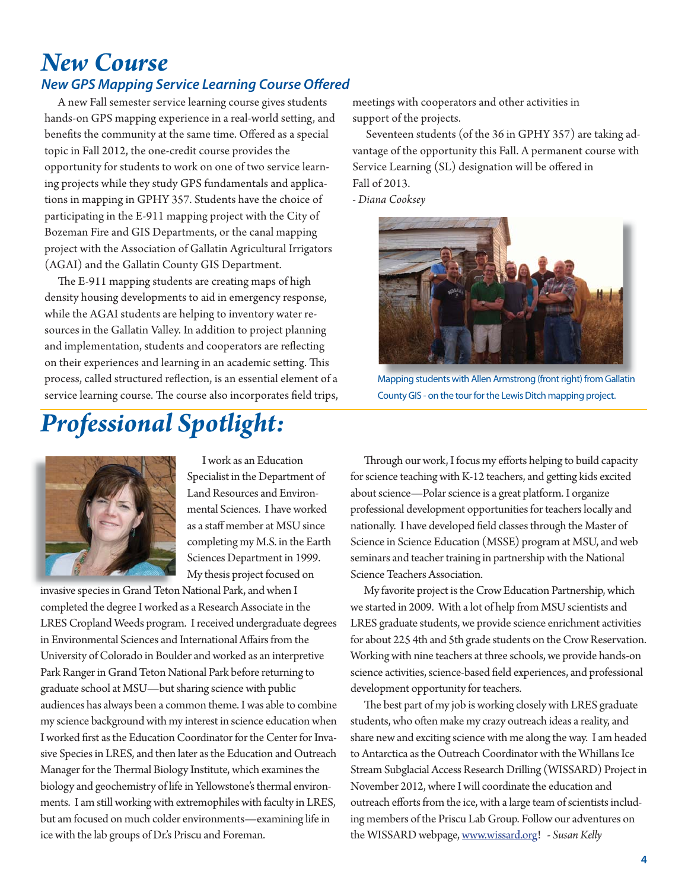# *New Course*

### **New GPS Mapping Service Learning Course Offered**

 A new Fall semester service learning course gives students hands-on GPS mapping experience in a real-world setting, and benefits the community at the same time. Offered as a special topic in Fall 2012, the one-credit course provides the opportunity for students to work on one of two service learning projects while they study GPS fundamentals and applications in mapping in GPHY 357. Students have the choice of participating in the E-911 mapping project with the City of Bozeman Fire and GIS Departments, or the canal mapping project with the Association of Gallatin Agricultural Irrigators (AGAI) and the Gallatin County GIS Department.

The E-911 mapping students are creating maps of high density housing developments to aid in emergency response, while the AGAI students are helping to inventory water resources in the Gallatin Valley. In addition to project planning and implementation, students and cooperators are reflecting on their experiences and learning in an academic setting. This process, called structured reflection, is an essential element of a service learning course. The course also incorporates field trips,

# *Professional Spotlight:*

meetings with cooperators and other activities in support of the projects.

 Seventeen students (of the 36 in GPHY 357) are taking advantage of the opportunity this Fall. A permanent course with Service Learning (SL) designation will be offered in Fall of 2013.

*- Diana Cooksey* 



Mapping students with Allen Armstrong (front right) from Gallatin County GIS - on the tour for the Lewis Ditch mapping project.



 I work as an Education Specialist in the Department of Land Resources and Environmental Sciences. I have worked as a staff member at MSU since completing my M.S. in the Earth Sciences Department in 1999. My thesis project focused on

invasive species in Grand Teton National Park, and when I completed the degree I worked as a Research Associate in the LRES Cropland Weeds program. I received undergraduate degrees in Environmental Sciences and International Affairs from the University of Colorado in Boulder and worked as an interpretive Park Ranger in Grand Teton National Park before returning to graduate school at MSU—but sharing science with public audiences has always been a common theme. I was able to combine my science background with my interest in science education when I worked first as the Education Coordinator for the Center for Invasive Species in LRES, and then later as the Education and Outreach Manager for the Thermal Biology Institute, which examines the biology and geochemistry of life in Yellowstone's thermal environments. I am still working with extremophiles with faculty in LRES, but am focused on much colder environments—examining life in ice with the lab groups of Dr.'s Priscu and Foreman.

Through our work, I focus my efforts helping to build capacity for science teaching with K-12 teachers, and getting kids excited about science—Polar science is a great platform. I organize professional development opportunities for teachers locally and nationally. I have developed field classes through the Master of Science in Science Education (MSSE) program at MSU, and web seminars and teacher training in partnership with the National Science Teachers Association.

 My favorite project is the Crow Education Partnership, which we started in 2009. With a lot of help from MSU scientists and LRES graduate students, we provide science enrichment activities for about 225 4th and 5th grade students on the Crow Reservation. Working with nine teachers at three schools, we provide hands-on science activities, science-based field experiences, and professional development opportunity for teachers.

The best part of my job is working closely with LRES graduate students, who often make my crazy outreach ideas a reality, and share new and exciting science with me along the way. I am headed to Antarctica as the Outreach Coordinator with the Whillans Ice Stream Subglacial Access Research Drilling (WISSARD) Project in November 2012, where I will coordinate the education and outreach efforts from the ice, with a large team of scientists including members of the Priscu Lab Group. Follow our adventures on the WISSARD webpage, www.wissard.org! *- Susan Kelly*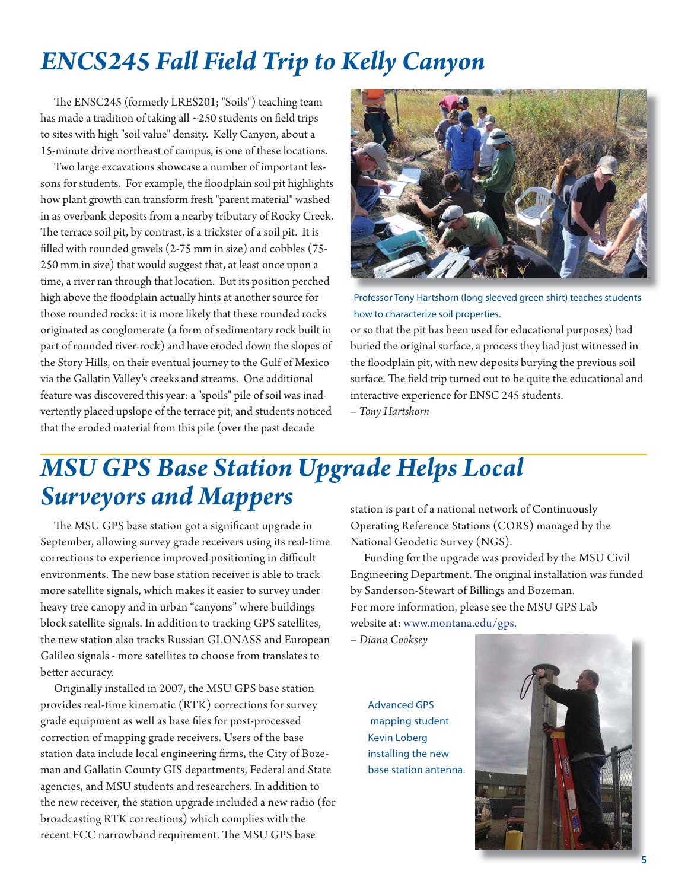# *ENCS245 Fall Field Trip to Kelly Canyon*

The ENSC245 (formerly LRES201; "Soils") teaching team has made a tradition of taking all  $\sim$ 250 students on field trips to sites with high "soil value" density. Kelly Canyon, about a 15-minute drive northeast of campus, is one of these locations.

 Two large excavations showcase a number of important lessons for students. For example, the floodplain soil pit highlights how plant growth can transform fresh "parent material" washed in as overbank deposits from a nearby tributary of Rocky Creek. The terrace soil pit, by contrast, is a trickster of a soil pit. It is filled with rounded gravels  $(2-75 \text{ mm in size})$  and cobbles  $(75-$ 250 mm in size) that would suggest that, at least once upon a time, a river ran through that location. But its position perched high above the floodplain actually hints at another source for those rounded rocks: it is more likely that these rounded rocks originated as conglomerate (a form of sedimentary rock built in part of rounded river-rock) and have eroded down the slopes of the Story Hills, on their eventual journey to the Gulf of Mexico via the Gallatin Valley's creeks and streams. One additional feature was discovered this year: a "spoils" pile of soil was inadvertently placed upslope of the terrace pit, and students noticed that the eroded material from this pile (over the past decade



Professor Tony Hartshorn (long sleeved green shirt) teaches students how to characterize soil properties.

or so that the pit has been used for educational purposes) had buried the original surface, a process they had just witnessed in the floodplain pit, with new deposits burying the previous soil surface. The field trip turned out to be quite the educational and interactive experience for ENSC 245 students.

*– Tony Hartshorn*

# *MSU GPS Base Station Upgrade Helps Local Surveyors and Mappers*

The MSU GPS base station got a significant upgrade in September, allowing survey grade receivers using its real-time corrections to experience improved positioning in difficult environments. The new base station receiver is able to track more satellite signals, which makes it easier to survey under heavy tree canopy and in urban "canyons" where buildings block satellite signals. In addition to tracking GPS satellites, the new station also tracks Russian GLONASS and European Galileo signals - more satellites to choose from translates to better accuracy.

 Originally installed in 2007, the MSU GPS base station provides real-time kinematic (RTK) corrections for survey grade equipment as well as base files for post-processed correction of mapping grade receivers. Users of the base station data include local engineering firms, the City of Bozeman and Gallatin County GIS departments, Federal and State agencies, and MSU students and researchers. In addition to the new receiver, the station upgrade included a new radio (for broadcasting RTK corrections) which complies with the recent FCC narrowband requirement. The MSU GPS base

station is part of a national network of Continuously Operating Reference Stations (CORS) managed by the National Geodetic Survey (NGS).

 Funding for the upgrade was provided by the MSU Civil Engineering Department. The original installation was funded by Sanderson-Stewart of Billings and Bozeman. For more information, please see the MSU GPS Lab website at: www.montana.edu/gps.

*– Diana Cooksey*

Advanced GPS mapping student Kevin Loberg installing the new base station antenna.

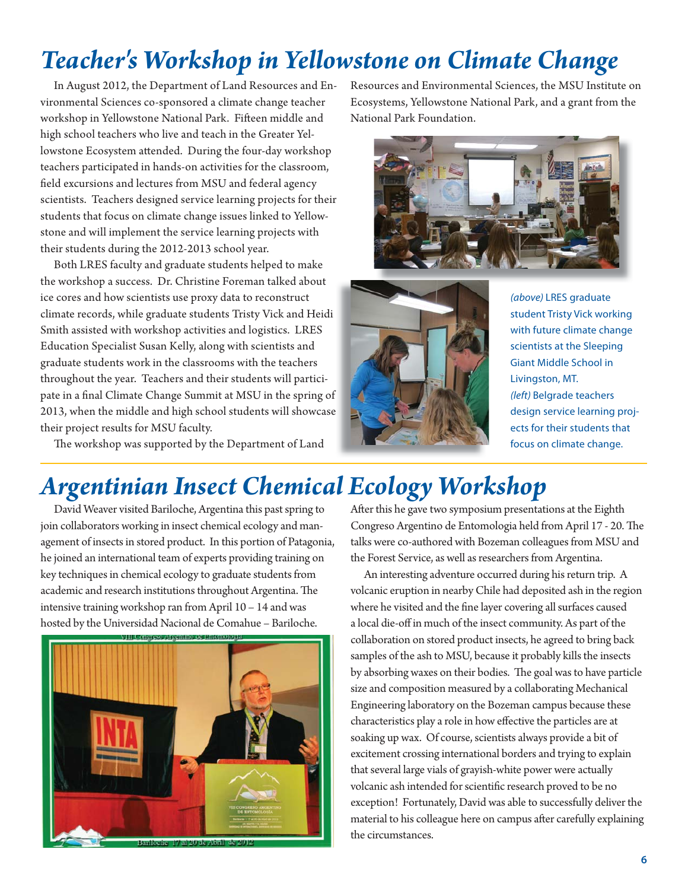# *Teacher's Workshop in Yellowstone on Climate Change*

 In August 2012, the Department of Land Resources and Environmental Sciences co-sponsored a climate change teacher workshop in Yellowstone National Park. Fifteen middle and high school teachers who live and teach in the Greater Yellowstone Ecosystem attended. During the four-day workshop teachers participated in hands-on activities for the classroom, field excursions and lectures from MSU and federal agency scientists. Teachers designed service learning projects for their students that focus on climate change issues linked to Yellowstone and will implement the service learning projects with their students during the 2012-2013 school year.

 Both LRES faculty and graduate students helped to make the workshop a success. Dr. Christine Foreman talked about ice cores and how scientists use proxy data to reconstruct climate records, while graduate students Tristy Vick and Heidi Smith assisted with workshop activities and logistics. LRES Education Specialist Susan Kelly, along with scientists and graduate students work in the classrooms with the teachers throughout the year. Teachers and their students will participate in a final Climate Change Summit at MSU in the spring of 2013, when the middle and high school students will showcase their project results for MSU faculty.

The workshop was supported by the Department of Land

Resources and Environmental Sciences, the MSU Institute on Ecosystems, Yellowstone National Park, and a grant from the National Park Foundation.





*(above)* LRES graduate student Tristy Vick working with future climate change scientists at the Sleeping Giant Middle School in Livingston, MT. *(left)* Belgrade teachers design service learning projects for their students that focus on climate change.

# *Argentinian Insect Chemical Ecology Workshop*

 David Weaver visited Bariloche, Argentina this past spring to join collaborators working in insect chemical ecology and management of insects in stored product. In this portion of Patagonia, he joined an international team of experts providing training on key techniques in chemical ecology to graduate students from academic and research institutions throughout Argentina. The intensive training workshop ran from April 10 – 14 and was hosted by the Universidad Nacional de Comahue – Bariloche.



After this he gave two symposium presentations at the Eighth Congreso Argentino de Entomologia held from April 17 - 20. The talks were co-authored with Bozeman colleagues from MSU and the Forest Service, as well as researchers from Argentina.

 An interesting adventure occurred during his return trip. A volcanic eruption in nearby Chile had deposited ash in the region where he visited and the fine layer covering all surfaces caused a local die-off in much of the insect community. As part of the collaboration on stored product insects, he agreed to bring back samples of the ash to MSU, because it probably kills the insects by absorbing waxes on their bodies. The goal was to have particle size and composition measured by a collaborating Mechanical Engineering laboratory on the Bozeman campus because these characteristics play a role in how effective the particles are at soaking up wax. Of course, scientists always provide a bit of excitement crossing international borders and trying to explain that several large vials of grayish-white power were actually volcanic ash intended for scientific research proved to be no exception! Fortunately, David was able to successfully deliver the material to his colleague here on campus after carefully explaining the circumstances.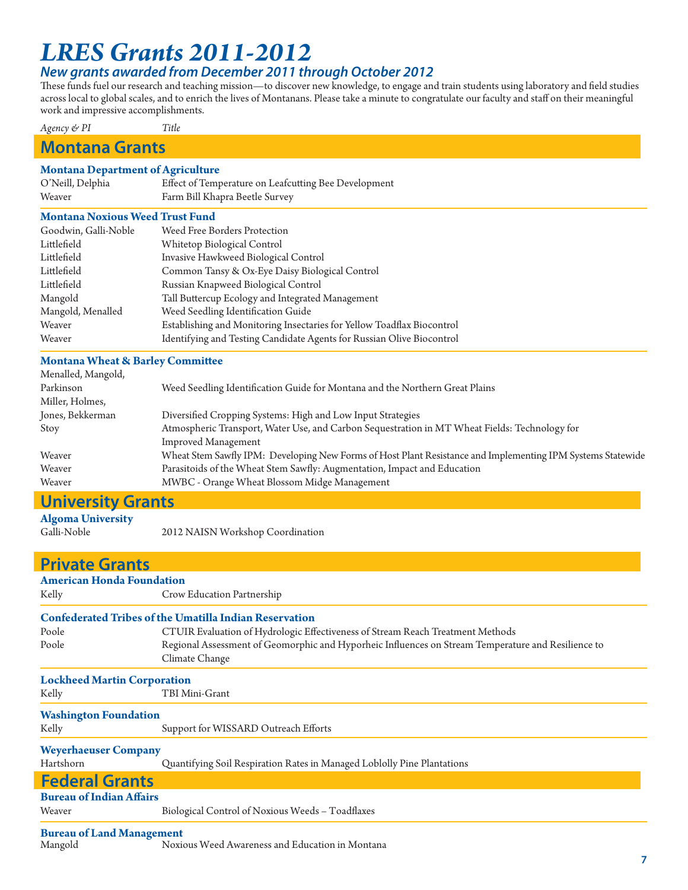# *LRES Grants 2011-2012*

### *New grants awarded from December 2011 through October 2012*

These funds fuel our research and teaching mission—to discover new knowledge, to engage and train students using laboratory and field studies across local to global scales, and to enrich the lives of Montanans. Please take a minute to congratulate our faculty and staff on their meaningful work and impressive accomplishments.

*Agency & PI Title*

### **Montana Grants**

### **Montana Department of Agriculture**

| O'Neill, Delphia | Effect of Temperature on Leafcutting Bee Development |
|------------------|------------------------------------------------------|
| Weaver           | Farm Bill Khapra Beetle Survey                       |

#### **Montana Noxious Weed Trust Fund**

| Goodwin, Galli-Noble | Weed Free Borders Protection                                           |
|----------------------|------------------------------------------------------------------------|
| Littlefield          | Whitetop Biological Control                                            |
| Littlefield          | Invasive Hawkweed Biological Control                                   |
| Littlefield          | Common Tansy & Ox-Eye Daisy Biological Control                         |
| Littlefield          | Russian Knapweed Biological Control                                    |
| Mangold              | Tall Buttercup Ecology and Integrated Management                       |
| Mangold, Menalled    | Weed Seedling Identification Guide                                     |
| Weaver               | Establishing and Monitoring Insectaries for Yellow Toadflax Biocontrol |
| Weaver               | Identifying and Testing Candidate Agents for Russian Olive Biocontrol  |

#### **Montana Wheat & Barley Committee**

| Menalled, Mangold,        |                                                                                                             |
|---------------------------|-------------------------------------------------------------------------------------------------------------|
| Parkinson                 | Weed Seedling Identification Guide for Montana and the Northern Great Plains                                |
| Miller, Holmes,           |                                                                                                             |
| Jones, Bekkerman          | Diversified Cropping Systems: High and Low Input Strategies                                                 |
| Stoy                      | Atmospheric Transport, Water Use, and Carbon Sequestration in MT Wheat Fields: Technology for               |
|                           | <b>Improved Management</b>                                                                                  |
| Weaver                    | Wheat Stem Sawfly IPM: Developing New Forms of Host Plant Resistance and Implementing IPM Systems Statewide |
| Weaver                    | Parasitoids of the Wheat Stem Sawfly: Augmentation, Impact and Education                                    |
| Weaver                    | MWBC - Orange Wheat Blossom Midge Management                                                                |
| <b>Llaivarcity Crapts</b> |                                                                                                             |

### **University Grants**

**Algoma University**

2012 NAISN Workshop Coordination

| <b>Private Grants</b>              |                                                                                                    |
|------------------------------------|----------------------------------------------------------------------------------------------------|
| <b>American Honda Foundation</b>   |                                                                                                    |
| Kelly                              | Crow Education Partnership                                                                         |
|                                    | <b>Confederated Tribes of the Umatilla Indian Reservation</b>                                      |
| Poole                              | CTUIR Evaluation of Hydrologic Effectiveness of Stream Reach Treatment Methods                     |
| Poole                              | Regional Assessment of Geomorphic and Hyporheic Influences on Stream Temperature and Resilience to |
|                                    | Climate Change                                                                                     |
| <b>Lockheed Martin Corporation</b> |                                                                                                    |
| Kelly                              | TBI Mini-Grant                                                                                     |
| <b>Washington Foundation</b>       |                                                                                                    |
| Kelly                              | Support for WISSARD Outreach Efforts                                                               |
| <b>Weyerhaeuser Company</b>        |                                                                                                    |
| Hartshorn                          | Quantifying Soil Respiration Rates in Managed Loblolly Pine Plantations                            |
| <b>Federal Grants</b>              |                                                                                                    |
| <b>Bureau of Indian Affairs</b>    |                                                                                                    |
| Weaver                             | Biological Control of Noxious Weeds - Toadflaxes                                                   |
| <b>Bureau of Land Management</b>   |                                                                                                    |
| Mangold                            | Noxious Weed Awareness and Education in Montana                                                    |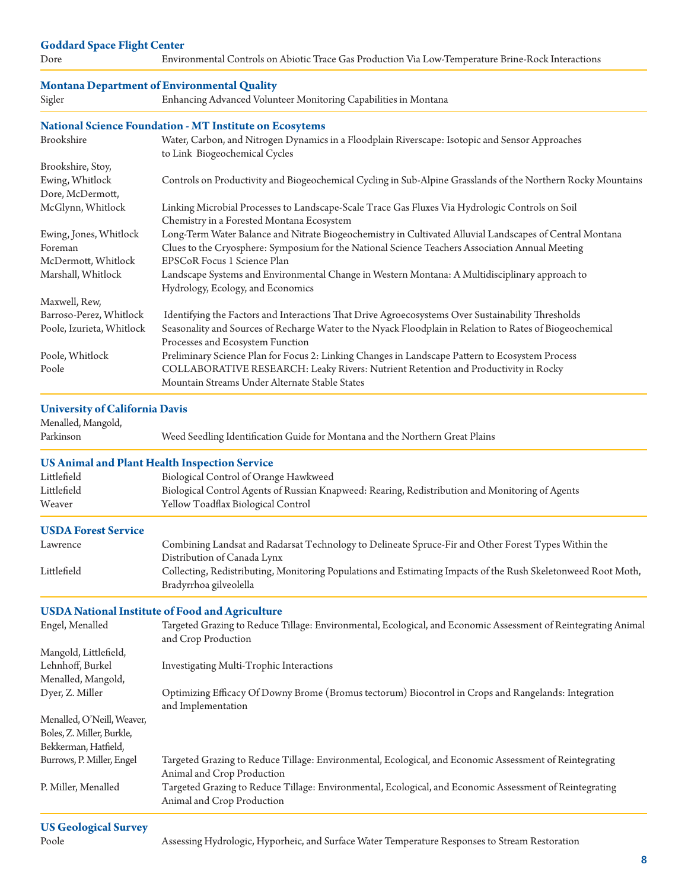#### **Goddard Space Flight Center**

Dore Environmental Controls on Abiotic Trace Gas Production Via Low-Temperature Brine-Rock Interactions

#### **Montana Department of Environmental Quality**

Sigler Enhancing Advanced Volunteer Monitoring Capabilities in Montana

#### **National Science Foundation - MT Institute on Ecosytems**

| Brookshire                | Water, Carbon, and Nitrogen Dynamics in a Floodplain Riverscape: Isotopic and Sensor Approaches              |
|---------------------------|--------------------------------------------------------------------------------------------------------------|
|                           | to Link Biogeochemical Cycles                                                                                |
| Brookshire, Stoy,         |                                                                                                              |
| Ewing, Whitlock           | Controls on Productivity and Biogeochemical Cycling in Sub-Alpine Grasslands of the Northern Rocky Mountains |
| Dore, McDermott,          |                                                                                                              |
| McGlynn, Whitlock         | Linking Microbial Processes to Landscape-Scale Trace Gas Fluxes Via Hydrologic Controls on Soil              |
|                           | Chemistry in a Forested Montana Ecosystem                                                                    |
| Ewing, Jones, Whitlock    | Long-Term Water Balance and Nitrate Biogeochemistry in Cultivated Alluvial Landscapes of Central Montana     |
| Foreman                   | Clues to the Cryosphere: Symposium for the National Science Teachers Association Annual Meeting              |
| McDermott, Whitlock       | EPSCoR Focus 1 Science Plan                                                                                  |
| Marshall, Whitlock        | Landscape Systems and Environmental Change in Western Montana: A Multidisciplinary approach to               |
|                           | Hydrology, Ecology, and Economics                                                                            |
| Maxwell, Rew,             |                                                                                                              |
| Barroso-Perez, Whitlock   | Identifying the Factors and Interactions That Drive Agroecosystems Over Sustainability Thresholds            |
| Poole, Izurieta, Whitlock | Seasonality and Sources of Recharge Water to the Nyack Floodplain in Relation to Rates of Biogeochemical     |
|                           | Processes and Ecosystem Function                                                                             |
| Poole, Whitlock           | Preliminary Science Plan for Focus 2: Linking Changes in Landscape Pattern to Ecosystem Process              |
| Poole                     | COLLABORATIVE RESEARCH: Leaky Rivers: Nutrient Retention and Productivity in Rocky                           |
|                           | Mountain Streams Under Alternate Stable States                                                               |

### **University of California Davis**

Menalled, Mangold,

Parkinson Weed Seedling Identification Guide for Montana and the Northern Great Plains

#### **US Animal and Plant Health Inspection Service**

| Littlefield | Biological Control of Orange Hawkweed                                                           |
|-------------|-------------------------------------------------------------------------------------------------|
| Littlefield | Biological Control Agents of Russian Knapweed: Rearing, Redistribution and Monitoring of Agents |
| Weaver      | Yellow Toadflax Biological Control                                                              |

#### **USDA Forest Service**

| Lawrence    | Combining Landsat and Radarsat Technology to Delineate Spruce-Fir and Other Forest Types Within the           |
|-------------|---------------------------------------------------------------------------------------------------------------|
|             | Distribution of Canada Lynx                                                                                   |
| Littlefield | Collecting, Redistributing, Monitoring Populations and Estimating Impacts of the Rush Skeletonweed Root Moth, |
|             | Bradyrrhoa gilveolella                                                                                        |

#### **USDA National Institute of Food and Agriculture**

| Engel, Menalled            | Targeted Grazing to Reduce Tillage: Environmental, Ecological, and Economic Assessment of Reintegrating Animal<br>and Crop Production |
|----------------------------|---------------------------------------------------------------------------------------------------------------------------------------|
| Mangold, Littlefield,      |                                                                                                                                       |
| Lehnhoff, Burkel           | Investigating Multi-Trophic Interactions                                                                                              |
| Menalled, Mangold,         |                                                                                                                                       |
| Dyer, Z. Miller            | Optimizing Efficacy Of Downy Brome (Bromus tectorum) Biocontrol in Crops and Rangelands: Integration<br>and Implementation            |
| Menalled, O'Neill, Weaver, |                                                                                                                                       |
| Boles, Z. Miller, Burkle,  |                                                                                                                                       |
| Bekkerman, Hatfield,       |                                                                                                                                       |
| Burrows, P. Miller, Engel  | Targeted Grazing to Reduce Tillage: Environmental, Ecological, and Economic Assessment of Reintegrating<br>Animal and Crop Production |
| P. Miller, Menalled        | Targeted Grazing to Reduce Tillage: Environmental, Ecological, and Economic Assessment of Reintegrating<br>Animal and Crop Production |
| $TTQ \cap 1 \dots 1$       |                                                                                                                                       |

Poole Assessing Hydrologic, Hyporheic, and Surface Water Temperature Responses to Stream Restoration